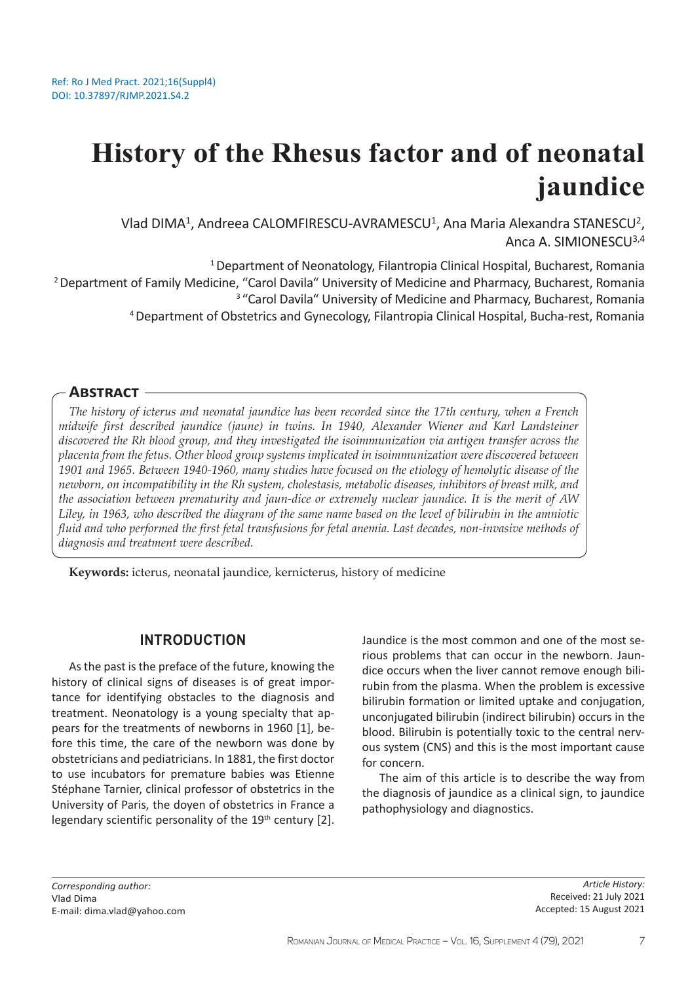# **History of the Rhesus factor and of neonatal jaundice**

Vlad DIMA<sup>1</sup>, Andreea CALOMFIRESCU-AVRAMESCU<sup>1</sup>, Ana Maria Alexandra STANESCU<sup>2</sup>, Anca A. SIMIONESCU3,4

<sup>1</sup> Department of Neonatology, Filantropia Clinical Hospital, Bucharest, Romania <sup>2</sup> Department of Family Medicine, "Carol Davila" University of Medicine and Pharmacy, Bucharest, Romania <sup>3</sup> "Carol Davila" University of Medicine and Pharmacy, Bucharest, Romania <sup>4</sup>Department of Obstetrics and Gynecology, Filantropia Clinical Hospital, Bucha-rest, Romania

### **Abstract**

*The history of icterus and neonatal jaundice has been recorded since the 17th century, when a French midwife first described jaundice (jaune) in twins. In 1940, Alexander Wiener and Karl Landsteiner discovered the Rh blood group, and they investigated the isoimmunization via antigen transfer across the placenta from the fetus. Other blood group systems implicated in isoimmunization were discovered between 1901 and 1965. Between 1940-1960, many studies have focused on the etiology of hemolytic disease of the newborn, on incompatibility in the Rh system, cholestasis, metabolic diseases, inhibitors of breast milk, and the association between prematurity and jaun-dice or extremely nuclear jaundice. It is the merit of AW Liley, in 1963, who described the diagram of the same name based on the level of bilirubin in the amniotic fluid and who performed the first fetal transfusions for fetal anemia. Last decades, non-invasive methods of diagnosis and treatment were described.* 

**Keywords:** icterus, neonatal jaundice, kernicterus, history of medicine

### **INTRODUCTION**

As the past is the preface of the future, knowing the history of clinical signs of diseases is of great importance for identifying obstacles to the diagnosis and treatment. Neonatology is a young specialty that appears for the treatments of newborns in 1960 [1], before this time, the care of the newborn was done by obstetricians and pediatricians. In 1881, the first doctor to use incubators for premature babies was Etienne Stéphane Tarnier, clinical professor of obstetrics in the University of Paris, the doyen of obstetrics in France a legendary scientific personality of the 19<sup>th</sup> century [2]. Jaundice is the most common and one of the most serious problems that can occur in the newborn. Jaundice occurs when the liver cannot remove enough bilirubin from the plasma. When the problem is excessive bilirubin formation or limited uptake and conjugation, unconjugated bilirubin (indirect bilirubin) occurs in the blood. Bilirubin is potentially toxic to the central nervous system (CNS) and this is the most important cause for concern.

The aim of this article is to describe the way from the diagnosis of jaundice as a clinical sign, to jaundice pathophysiology and diagnostics.

*Corresponding author:*  Vlad Dima E-mail: dima.vlad@yahoo.com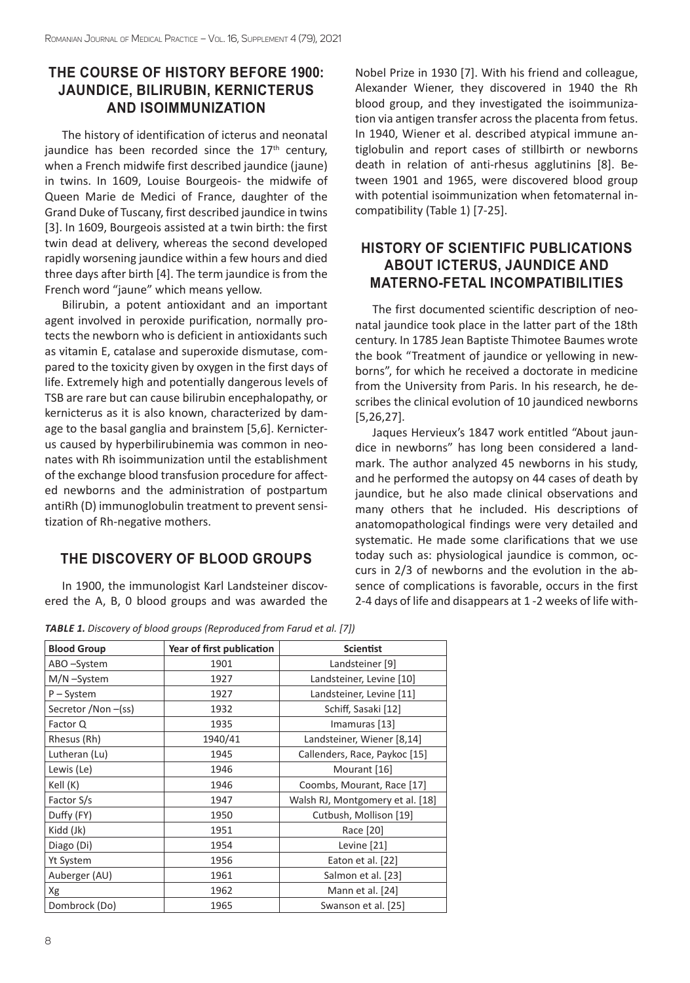## **THE COURSE OF HISTORY BEFORE 1900: JAUNDICE, BILIRUBIN, KERNICTERUS AND ISOIMMUNIZATION**

The history of identification of icterus and neonatal iaundice has been recorded since the  $17<sup>th</sup>$  century. when a French midwife first described jaundice (jaune) in twins. In 1609, Louise Bourgeois- the midwife of Queen Marie de Medici of France, daughter of the Grand Duke of Tuscany, first described jaundice in twins [3]. In 1609, Bourgeois assisted at a twin birth: the first twin dead at delivery, whereas the second developed rapidly worsening jaundice within a few hours and died three days after birth [4]. The term jaundice is from the French word "jaune" which means yellow.

Bilirubin, a potent antioxidant and an important agent involved in peroxide purification, normally protects the newborn who is deficient in antioxidants such as vitamin E, catalase and superoxide dismutase, compared to the toxicity given by oxygen in the first days of life. Extremely high and potentially dangerous levels of TSB are rare but can cause bilirubin encephalopathy, or kernicterus as it is also known, characterized by damage to the basal ganglia and brainstem [5,6]. Kernicterus caused by hyperbilirubinemia was common in neonates with Rh isoimmunization until the establishment of the exchange blood transfusion procedure for affected newborns and the administration of postpartum antiRh (D) immunoglobulin treatment to prevent sensitization of Rh-negative mothers.

## **THE DISCOVERY OF BLOOD GROUPS**

In 1900, the immunologist Karl Landsteiner discovered the A, B, 0 blood groups and was awarded the Nobel Prize in 1930 [7]. With his friend and colleague, Alexander Wiener, they discovered in 1940 the Rh blood group, and they investigated the isoimmunization via antigen transfer across the placenta from fetus. In 1940, Wiener et al. described atypical immune antiglobulin and report cases of stillbirth or newborns death in relation of anti-rhesus agglutinins [8]. Between 1901 and 1965, were discovered blood group with potential isoimmunization when fetomaternal incompatibility (Table 1) [7-25].

## **HISTORY OF SCIENTIFIC PUBLICATIONS ABOUT ICTERUS, JAUNDICE AND MATERNO-FETAL INCOMPATIBILITIES**

The first documented scientific description of neonatal jaundice took place in the latter part of the 18th century. In 1785 Jean Baptiste Thimotee Baumes wrote the book "Treatment of jaundice or yellowing in newborns", for which he received a doctorate in medicine from the University from Paris. In his research, he describes the clinical evolution of 10 jaundiced newborns [5,26,27].

Jaques Hervieux's 1847 work entitled "About jaundice in newborns" has long been considered a landmark. The author analyzed 45 newborns in his study, and he performed the autopsy on 44 cases of death by jaundice, but he also made clinical observations and many others that he included. His descriptions of anatomopathological findings were very detailed and systematic. He made some clarifications that we use today such as: physiological jaundice is common, occurs in 2/3 of newborns and the evolution in the absence of complications is favorable, occurs in the first 2-4 days of life and disappears at 1 -2 weeks of life with-

*TABLE 1. Discovery of blood groups (Reproduced from Farud et al. [7])*

| <b>Blood Group</b> | Year of first publication | <b>Scientist</b>                 |
|--------------------|---------------------------|----------------------------------|
| ABO-System         | 1901                      | Landsteiner [9]                  |
| M/N-System         | 1927                      | Landsteiner, Levine [10]         |
| $P - System$       | 1927                      | Landsteiner, Levine [11]         |
| Secretor /Non-(ss) | 1932                      | Schiff, Sasaki [12]              |
| Factor Q           | 1935                      | Imamuras [13]                    |
| Rhesus (Rh)        | 1940/41                   | Landsteiner, Wiener [8,14]       |
| Lutheran (Lu)      | 1945                      | Callenders, Race, Paykoc [15]    |
| Lewis (Le)         | 1946                      | Mourant [16]                     |
| Kell (K)           | 1946                      | Coombs, Mourant, Race [17]       |
| Factor S/s         | 1947                      | Walsh RJ, Montgomery et al. [18] |
| Duffy (FY)         | 1950                      | Cutbush, Mollison [19]           |
| Kidd (Jk)          | 1951                      | Race [20]                        |
| Diago (Di)         | 1954                      | Levine [21]                      |
| <b>Yt System</b>   | 1956                      | Eaton et al. [22]                |
| Auberger (AU)      | 1961                      | Salmon et al. [23]               |
| Xg                 | 1962                      | Mann et al. [24]                 |
| Dombrock (Do)      | 1965                      | Swanson et al. [25]              |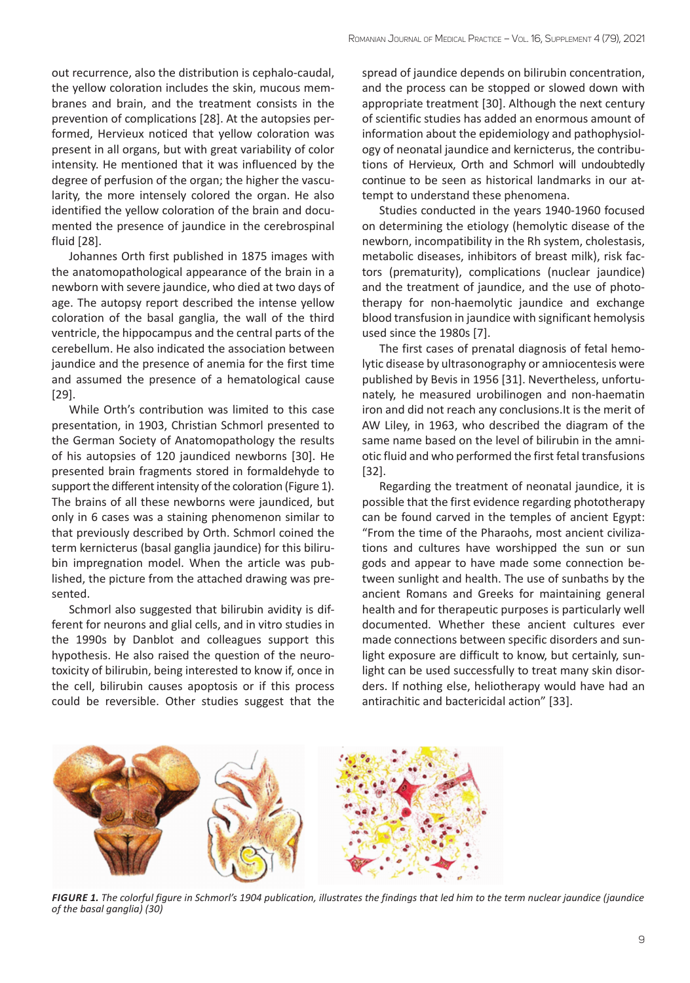out recurrence, also the distribution is cephalo-caudal, the yellow coloration includes the skin, mucous membranes and brain, and the treatment consists in the prevention of complications [28]. At the autopsies performed, Hervieux noticed that yellow coloration was present in all organs, but with great variability of color intensity. He mentioned that it was influenced by the degree of perfusion of the organ; the higher the vascularity, the more intensely colored the organ. He also identified the yellow coloration of the brain and documented the presence of jaundice in the cerebrospinal fluid [28].

Johannes Orth first published in 1875 images with the anatomopathological appearance of the brain in a newborn with severe jaundice, who died at two days of age. The autopsy report described the intense yellow coloration of the basal ganglia, the wall of the third ventricle, the hippocampus and the central parts of the cerebellum. He also indicated the association between jaundice and the presence of anemia for the first time and assumed the presence of a hematological cause [29].

While Orth's contribution was limited to this case presentation, in 1903, Christian Schmorl presented to the German Society of Anatomopathology the results of his autopsies of 120 jaundiced newborns [30]. He presented brain fragments stored in formaldehyde to support the different intensity of the coloration (Figure 1). The brains of all these newborns were jaundiced, but only in 6 cases was a staining phenomenon similar to that previously described by Orth. Schmorl coined the term kernicterus (basal ganglia jaundice) for this bilirubin impregnation model. When the article was published, the picture from the attached drawing was presented.

Schmorl also suggested that bilirubin avidity is different for neurons and glial cells, and in vitro studies in the 1990s by Danblot and colleagues support this hypothesis. He also raised the question of the neurotoxicity of bilirubin, being interested to know if, once in the cell, bilirubin causes apoptosis or if this process could be reversible. Other studies suggest that the spread of jaundice depends on bilirubin concentration, and the process can be stopped or slowed down with appropriate treatment [30]. Although the next century of scientific studies has added an enormous amount of information about the epidemiology and pathophysiology of neonatal jaundice and kernicterus, the contributions of Hervieux, Orth and Schmorl will undoubtedly continue to be seen as historical landmarks in our attempt to understand these phenomena.

Studies conducted in the years 1940-1960 focused on determining the etiology (hemolytic disease of the newborn, incompatibility in the Rh system, cholestasis, metabolic diseases, inhibitors of breast milk), risk factors (prematurity), complications (nuclear jaundice) and the treatment of jaundice, and the use of phototherapy for non-haemolytic jaundice and exchange blood transfusion in jaundice with significant hemolysis used since the 1980s [7].

The first cases of prenatal diagnosis of fetal hemolytic disease by ultrasonography or amniocentesis were published by Bevis in 1956 [31]. Nevertheless, unfortunately, he measured urobilinogen and non-haematin iron and did not reach any conclusions.It is the merit of AW Liley, in 1963, who described the diagram of the same name based on the level of bilirubin in the amniotic fluid and who performed the first fetal transfusions [32].

Regarding the treatment of neonatal jaundice, it is possible that the first evidence regarding phototherapy can be found carved in the temples of ancient Egypt: "From the time of the Pharaohs, most ancient civilizations and cultures have worshipped the sun or sun gods and appear to have made some connection between sunlight and health. The use of sunbaths by the ancient Romans and Greeks for maintaining general health and for therapeutic purposes is particularly well documented. Whether these ancient cultures ever made connections between specific disorders and sunlight exposure are difficult to know, but certainly, sunlight can be used successfully to treat many skin disorders. If nothing else, heliotherapy would have had an antirachitic and bactericidal action" [33].



*FIGURE 1. The colorful figure in Schmorl's 1904 publication, illustrates the findings that led him to the term nuclear jaundice (jaundice of the basal ganglia) (30)*